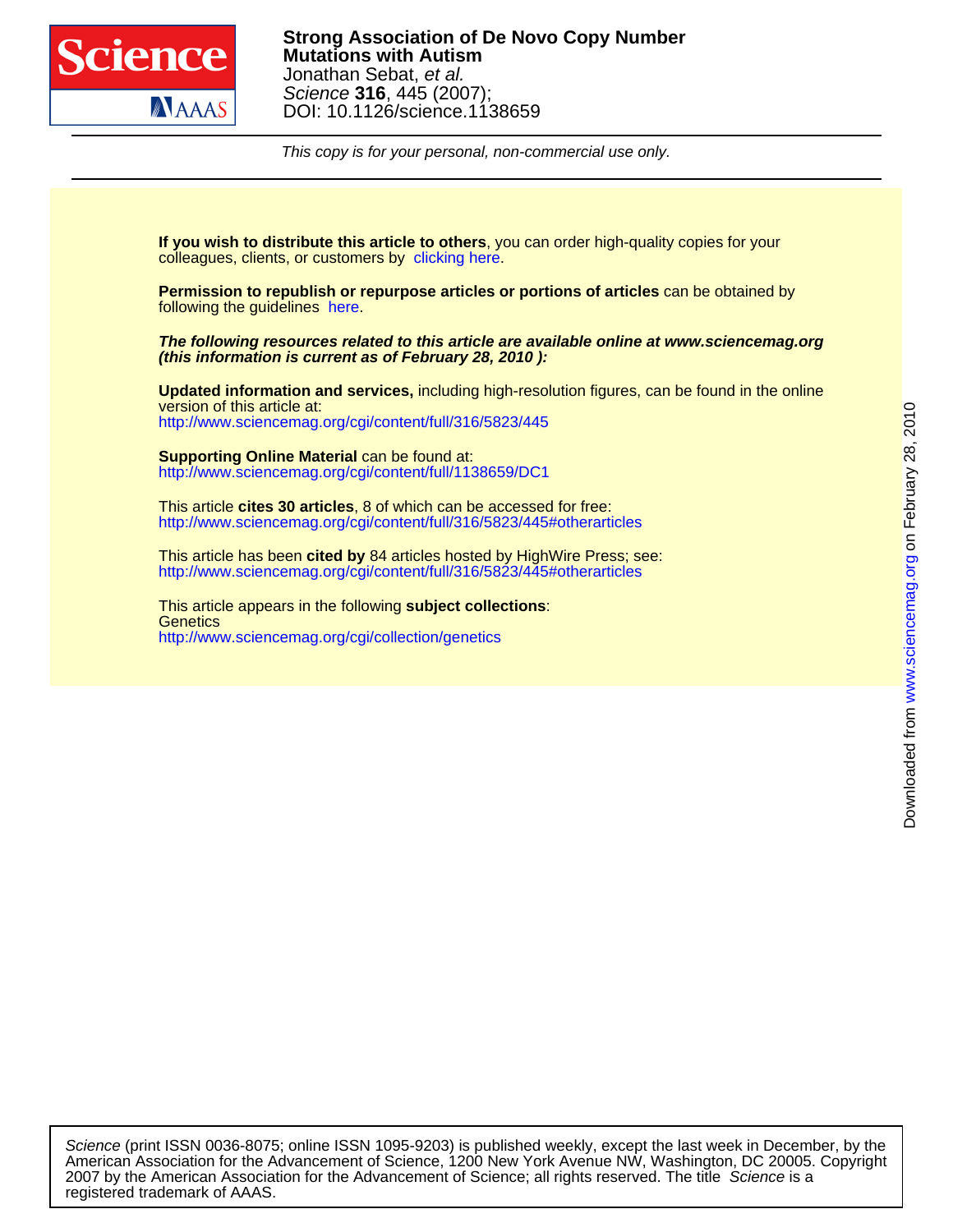

This copy is for your personal, non-commercial use only.

colleagues, clients, or customers by [clicking here.](http://www.sciencemag.org/about/permissions.dtl) **If you wish to distribute this article to others**, you can order high-quality copies for your

following the guidelines [here.](http://www.sciencemag.org/help/about/permissions.dtl) **Permission to republish or repurpose articles or portions of articles** can be obtained by

**(this information is current as of February 28, 2010 ): The following resources related to this article are available online at www.sciencemag.org**

<http://www.sciencemag.org/cgi/content/full/316/5823/445> version of this article at: **Updated information and services,** including high-resolution figures, can be found in the online

<http://www.sciencemag.org/cgi/content/full/1138659/DC1> **Supporting Online Material** can be found at:

<http://www.sciencemag.org/cgi/content/full/316/5823/445#otherarticles> This article **cites 30 articles**, 8 of which can be accessed for free:

<http://www.sciencemag.org/cgi/content/full/316/5823/445#otherarticles> This article has been **cited by** 84 articles hosted by HighWire Press; see:

<http://www.sciencemag.org/cgi/collection/genetics> **Genetics** This article appears in the following **subject collections**: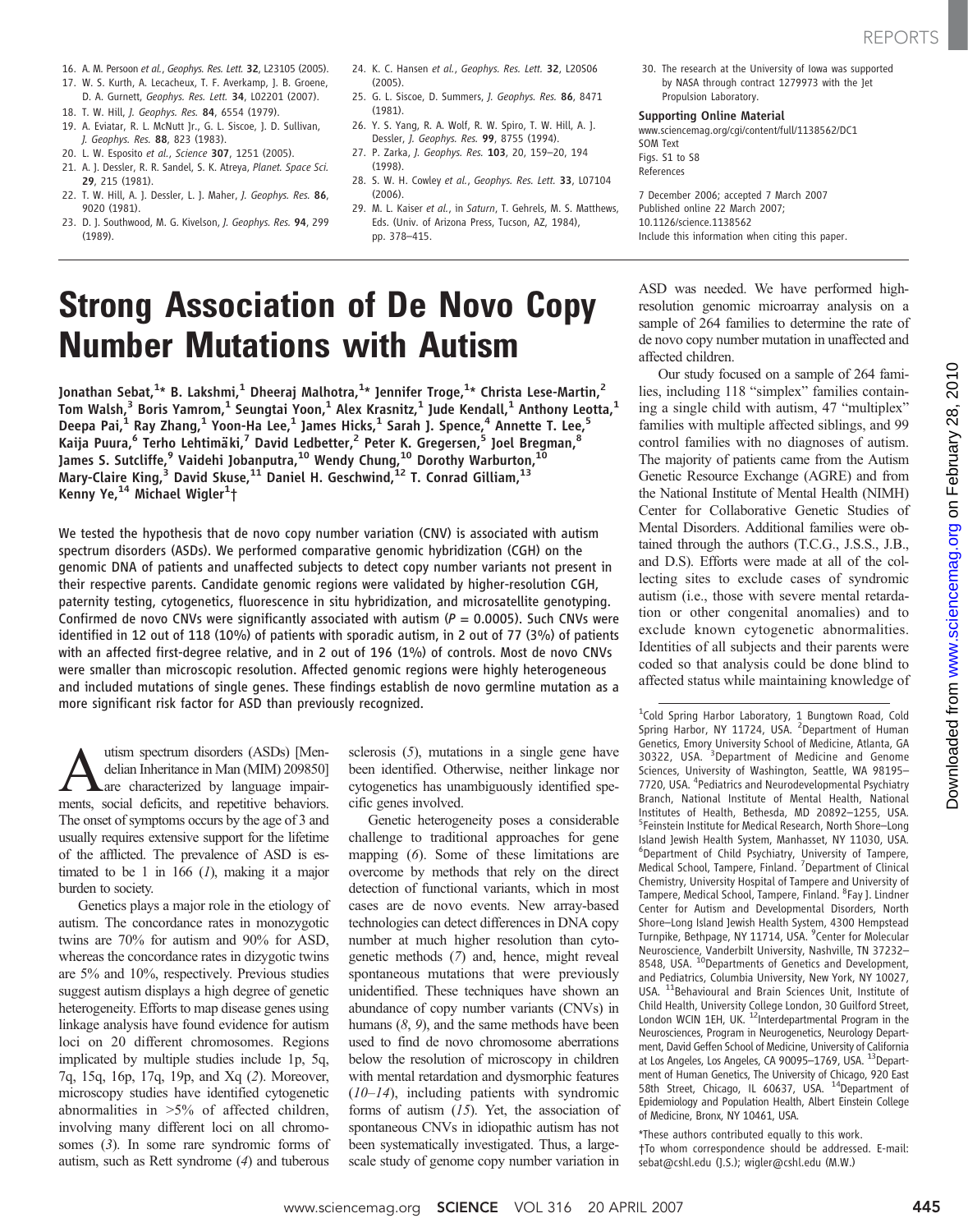- 16. A. M. Persoon et al., Geophys. Res. Lett. 32, L23105 (2005).
- 17. W. S. Kurth, A. Lecacheux, T. F. Averkamp, J. B. Groene, D. A. Gurnett, Geophys. Res. Lett. 34, L02201 (2007).
- 18. T. W. Hill, J. Geophys. Res. 84, 6554 (1979).
- 19. A. Eviatar, R. L. McNutt Jr., G. L. Siscoe, J. D. Sullivan, J. Geophys. Res. 88, 823 (1983).
- 20. L. W. Esposito et al., Science 307, 1251 (2005).
- 21. A. J. Dessler, R. R. Sandel, S. K. Atreya, Planet. Space Sci.
- 29, 215 (1981). 22. T. W. Hill, A. J. Dessler, L. J. Maher, J. Geophys. Res. 86, 9020 (1981).
- 23. D. J. Southwood, M. G. Kivelson, J. Geophys. Res. 94, 299 (1989).
- 24. K. C. Hansen et al., Geophys. Res. Lett. 32, L20506 (2005).
- 25. G. L. Siscoe, D. Summers, J. Geophys. Res. 86, 8471 (1981).
- 26. Y. S. Yang, R. A. Wolf, R. W. Spiro, T. W. Hill, A. J. Dessler, J. Geophys. Res. 99, 8755 (1994).
- 27. P. Zarka, J. Geophys. Res. 103, 20, 159–20, 194 (1998).
- 28. S. W. H. Cowley et al., Geophys. Res. Lett. 33, L07104 (2006).
- 29. M. L. Kaiser et al., in Saturn, T. Gehrels, M. S. Matthews, Eds. (Univ. of Arizona Press, Tucson, AZ, 1984), pp. 378–415.
- 30. The research at the University of Iowa was supported by NASA through contract 1279973 with the Jet Propulsion Laboratory.

#### Supporting Online Material

www.sciencemag.org/cgi/content/full/1138562/DC1 SOM Text Figs. S1 to S8 References

7 December 2006; accepted 7 March 2007 Published online 22 March 2007; 10.1126/science.1138562 Include this information when citing this paper.

# Strong Association of De Novo Copy Number Mutations with Autism

Jonathan Sebat, $^{1_\star}$  B. Lakshmi, $^1$  Dheeraj Malhotra, $^{1_\star}$  Jennifer Troge, $^{1_\star}$  Christa Lese-Martin, $^2$ Tom Walsh, $^3$  Boris Yamrom, $^1$  Seungtai Yoon, $^1$  Alex Krasnitz, $^1$  Jude Kendall, $^1$  Anthony Leotta, $^1$ Deepa Pai, $^1$  Ray Zhang, $^1$  Yoon-Ha Lee, $^1$  James Hicks, $^1$  Sarah J. Spence, $^4$  Annette T. Lee, $^5$ Kaija Puura,<sup>6</sup> Terho Lehtimäki,<sup>7</sup> David Ledbetter,<sup>2</sup> Peter K. Gregersen,<sup>5</sup> Joel Bregman,<sup>8</sup> James S. Sutcliffe,<sup>9</sup> Vaidehi Jobanputra,<sup>10</sup> Wendy Chung,<sup>10</sup> Dorothy Warburton,<sup>10</sup> Mary-Claire King, $^3$  David Skuse, $^{11}$  Daniel H. Geschwind, $^{12}$  T. Conrad Gilliam, $^{13}$ Kenny Ye,<sup>14</sup> Michael Wigler<sup>1</sup> *†*

We tested the hypothesis that de novo copy number variation (CNV) is associated with autism spectrum disorders (ASDs). We performed comparative genomic hybridization (CGH) on the genomic DNA of patients and unaffected subjects to detect copy number variants not present in their respective parents. Candidate genomic regions were validated by higher-resolution CGH, paternity testing, cytogenetics, fluorescence in situ hybridization, and microsatellite genotyping. Confirmed de novo CNVs were significantly associated with autism ( $P = 0.0005$ ). Such CNVs were identified in 12 out of 118 (10%) of patients with sporadic autism, in 2 out of 77 (3%) of patients with an affected first-degree relative, and in 2 out of 196 (1%) of controls. Most de novo CNVs were smaller than microscopic resolution. Affected genomic regions were highly heterogeneous and included mutations of single genes. These findings establish de novo germline mutation as a more significant risk factor for ASD than previously recognized.

**A**utism spectrum disorders (ASDs) [Mendelian Inheritance in Man (MIM) 209850]<br>are characterized by language impair-<br>ments social deficits and renetitive behaviors delian Inheritance in Man (MIM) 209850] ments, social deficits, and repetitive behaviors. The onset of symptoms occurs by the age of 3 and usually requires extensive support for the lifetime of the afflicted. The prevalence of ASD is estimated to be 1 in 166  $(1)$ , making it a major burden to society.

Genetics plays a major role in the etiology of autism. The concordance rates in monozygotic twins are 70% for autism and 90% for ASD, whereas the concordance rates in dizygotic twins are 5% and 10%, respectively. Previous studies suggest autism displays a high degree of genetic heterogeneity. Efforts to map disease genes using linkage analysis have found evidence for autism loci on 20 different chromosomes. Regions implicated by multiple studies include 1p, 5q, 7q, 15q, 16p, 17q, 19p, and Xq (2). Moreover, microscopy studies have identified cytogenetic abnormalities in >5% of affected children, involving many different loci on all chromosomes (3). In some rare syndromic forms of autism, such as Rett syndrome (4) and tuberous

sclerosis  $(5)$ , mutations in a single gene have been identified. Otherwise, neither linkage nor cytogenetics has unambiguously identified specific genes involved.

Genetic heterogeneity poses a considerable challenge to traditional approaches for gene mapping (6). Some of these limitations are overcome by methods that rely on the direct detection of functional variants, which in most cases are de novo events. New array-based technologies can detect differences in DNA copy number at much higher resolution than cytogenetic methods (7) and, hence, might reveal spontaneous mutations that were previously unidentified. These techniques have shown an abundance of copy number variants (CNVs) in humans  $(8, 9)$ , and the same methods have been used to find de novo chromosome aberrations below the resolution of microscopy in children with mental retardation and dysmorphic features  $(10-14)$ , including patients with syndromic forms of autism  $(15)$ . Yet, the association of spontaneous CNVs in idiopathic autism has not been systematically investigated. Thus, a largescale study of genome copy number variation in ASD was needed. We have performed highresolution genomic microarray analysis on a sample of 264 families to determine the rate of de novo copy number mutation in unaffected and affected children.

Our study focused on a sample of 264 families, including 118 "simplex" families containing a single child with autism, 47 "multiplex" families with multiple affected siblings, and 99 control families with no diagnoses of autism. The majority of patients came from the Autism Genetic Resource Exchange (AGRE) and from the National Institute of Mental Health (NIMH) Center for Collaborative Genetic Studies of Mental Disorders. Additional families were obtained through the authors (T.C.G., J.S.S., J.B., and D.S). Efforts were made at all of the collecting sites to exclude cases of syndromic autism (i.e., those with severe mental retardation or other congenital anomalies) and to exclude known cytogenetic abnormalities. Identities of all subjects and their parents were coded so that analysis could be done blind to affected status while maintaining knowledge of

<sup>1</sup>Cold Spring Harbor Laboratory, 1 Bungtown Road, Cold<br>Spring Harbor, NY 11724, USA. <sup>2</sup>Department of Human Genetics, Emory University School of Medicine, Atlanta, GA 30322, USA. <sup>3</sup>Department of Medicine and Genome Sciences, University of Washington, Seattle, WA 98195– 7720, USA. <sup>4</sup> Pediatrics and Neurodevelopmental Psychiatry Branch, National Institute of Mental Health, National Institutes of Health, Bethesda, MD 20892-1255, USA. <sup>5</sup>Feinstein Institute for Medical Research, North Shore–Long Island Jewish Health System, Manhasset, NY 11030, USA. 6 Department of Child Psychiatry, University of Tampere, Medical School, Tampere, Finland. <sup>7</sup> Department of Clinical Chemistry, University Hospital of Tampere and University of Tampere, Medical School, Tampere, Finland. <sup>8</sup> Fay J. Lindner Center for Autism and Developmental Disorders, North Shore–Long Island Jewish Health System, 4300 Hempstead Turnpike, Bethpage, NY 11714, USA. <sup>9</sup> Center for Molecular Neuroscience, Vanderbilt University, Nashville, TN 37232– 8548, USA. <sup>10</sup>Departments of Genetics and Development, and Pediatrics, Columbia University, New York, NY 10027, USA. <sup>11</sup>Behavioural and Brain Sciences Unit, Institute of Child Health, University College London, 30 Guilford Street, London WCIN 1EH, UK. <sup>12</sup>Interdepartmental Program in the Neurosciences, Program in Neurogenetics, Neurology Department, David Geffen School of Medicine, University of California at Los Angeles, Los Angeles, CA 90095-1769, USA. <sup>13</sup>Department of Human Genetics, The University of Chicago, 920 East<br>58th Street, Chicago, IL 60637, USA. <sup>14</sup>Department of Epidemiology and Population Health, Albert Einstein College of Medicine, Bronx, NY 10461, USA.

\*These authors contributed equally to this work.

†To whom correspondence should be addressed. E-mail: sebat@cshl.edu (J.S.); wigler@cshl.edu (M.W.)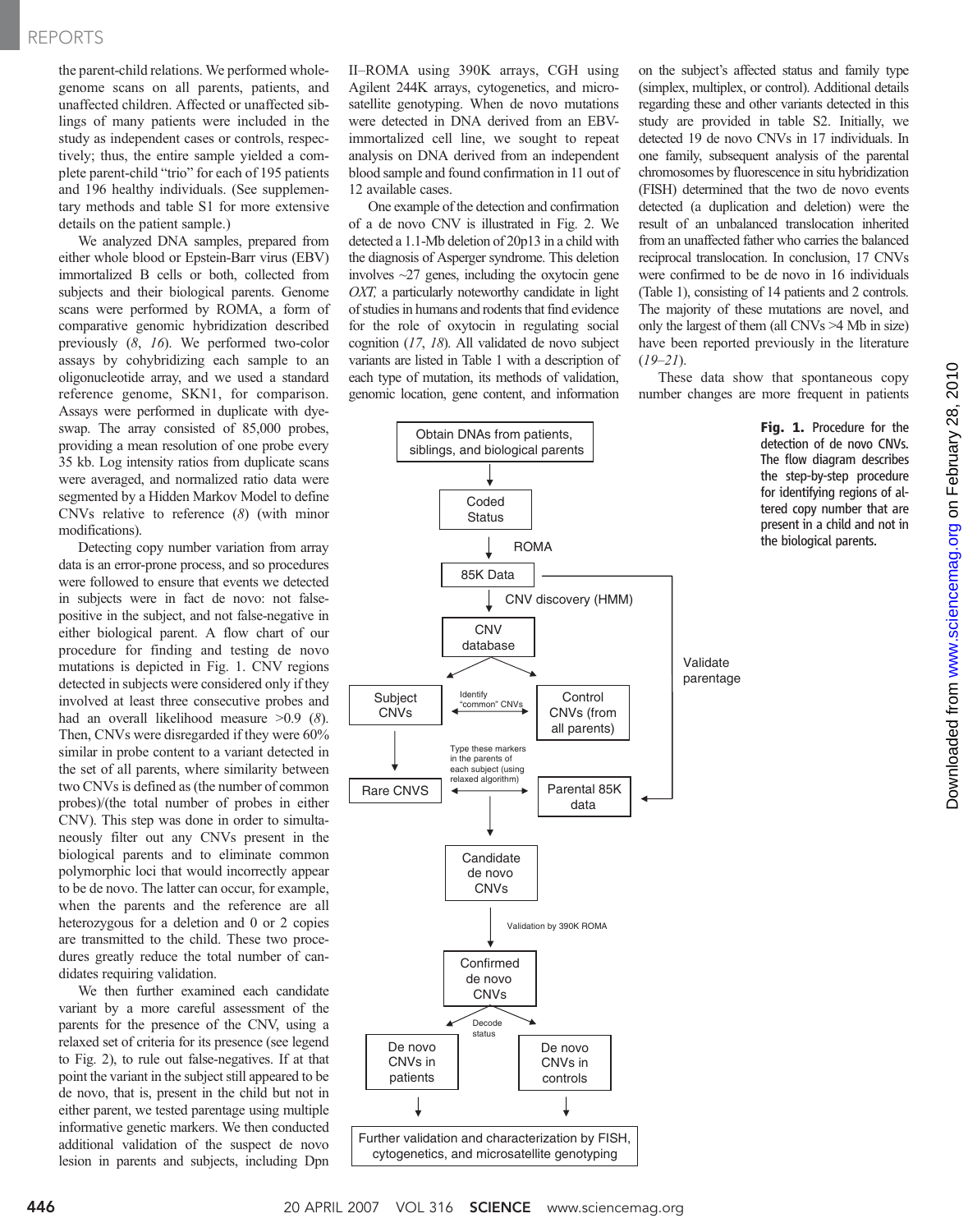### REPORTS

the parent-child relations. We performed wholegenome scans on all parents, patients, and unaffected children. Affected or unaffected siblings of many patients were included in the study as independent cases or controls, respectively; thus, the entire sample yielded a complete parent-child "trio" for each of 195 patients and 196 healthy individuals. (See supplementary methods and table S1 for more extensive details on the patient sample.)

We analyzed DNA samples, prepared from either whole blood or Epstein-Barr virus (EBV) immortalized B cells or both, collected from subjects and their biological parents. Genome scans were performed by ROMA, a form of comparative genomic hybridization described previously (8, 16). We performed two-color assays by cohybridizing each sample to an oligonucleotide array, and we used a standard reference genome, SKN1, for comparison. Assays were performed in duplicate with dyeswap. The array consisted of 85,000 probes, providing a mean resolution of one probe every 35 kb. Log intensity ratios from duplicate scans were averaged, and normalized ratio data were segmented by a Hidden Markov Model to define CNVs relative to reference (8) (with minor modifications).

Detecting copy number variation from array data is an error-prone process, and so procedures were followed to ensure that events we detected in subjects were in fact de novo: not falsepositive in the subject, and not false-negative in either biological parent. A flow chart of our procedure for finding and testing de novo mutations is depicted in Fig. 1. CNV regions detected in subjects were considered only if they involved at least three consecutive probes and had an overall likelihood measure >0.9 (8). Then, CNVs were disregarded if they were 60% similar in probe content to a variant detected in the set of all parents, where similarity between two CNVs is defined as (the number of common probes)/(the total number of probes in either CNV). This step was done in order to simultaneously filter out any CNVs present in the biological parents and to eliminate common polymorphic loci that would incorrectly appear to be de novo. The latter can occur, for example, when the parents and the reference are all heterozygous for a deletion and 0 or 2 copies are transmitted to the child. These two procedures greatly reduce the total number of candidates requiring validation.

We then further examined each candidate variant by a more careful assessment of the parents for the presence of the CNV, using a relaxed set of criteria for its presence (see legend to Fig. 2), to rule out false-negatives. If at that point the variant in the subject still appeared to be de novo, that is, present in the child but not in either parent, we tested parentage using multiple informative genetic markers. We then conducted additional validation of the suspect de novo lesion in parents and subjects, including Dpn

II–ROMA using 390K arrays, CGH using Agilent 244K arrays, cytogenetics, and microsatellite genotyping. When de novo mutations were detected in DNA derived from an EBVimmortalized cell line, we sought to repeat analysis on DNA derived from an independent blood sample and found confirmation in 11 out of 12 available cases.

One example of the detection and confirmation of a de novo CNV is illustrated in Fig. 2. We detected a 1.1-Mb deletion of 20p13 in a child with the diagnosis of Asperger syndrome. This deletion involves  $\sim$ 27 genes, including the oxytocin gene OXT, a particularly noteworthy candidate in light of studies in humans and rodents that find evidence for the role of oxytocin in regulating social cognition (17, 18). All validated de novo subject variants are listed in Table 1 with a description of each type of mutation, its methods of validation, genomic location, gene content, and information

on the subject's affected status and family type (simplex, multiplex, or control). Additional details regarding these and other variants detected in this study are provided in table S2. Initially, we detected 19 de novo CNVs in 17 individuals. In one family, subsequent analysis of the parental chromosomes by fluorescence in situ hybridization (FISH) determined that the two de novo events detected (a duplication and deletion) were the result of an unbalanced translocation inherited from an unaffected father who carries the balanced reciprocal translocation. In conclusion, 17 CNVs were confirmed to be de novo in 16 individuals (Table 1), consisting of 14 patients and 2 controls. The majority of these mutations are novel, and only the largest of them (all CNVs >4 Mb in size) have been reported previously in the literature  $(19-21)$ .

These data show that spontaneous copy number changes are more frequent in patients



Fig. 1. Procedure for the detection of de novo CNVs. The flow diagram describes the step-by-step procedure for identifying regions of altered copy number that are present in a child and not in the biological parents.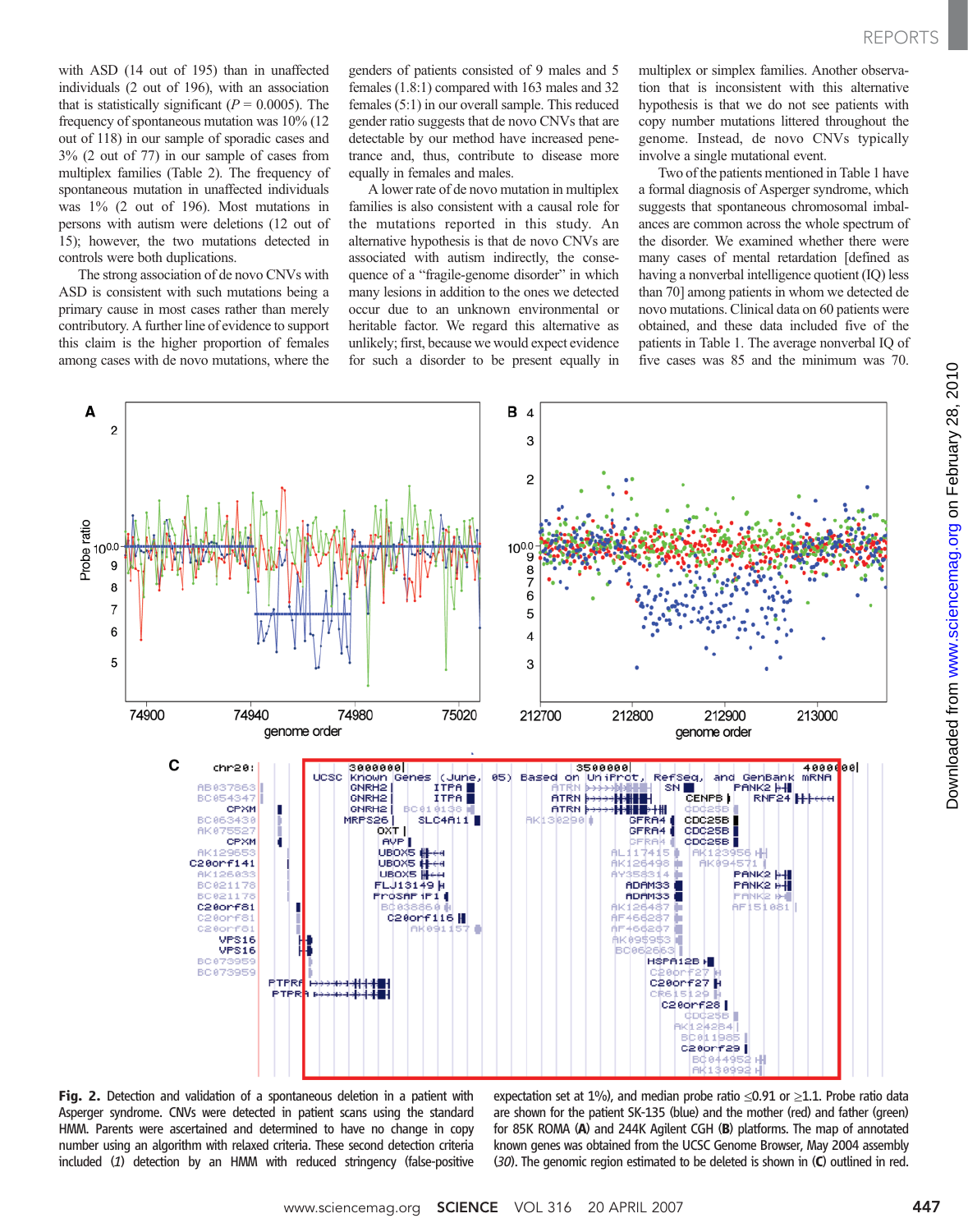with ASD (14 out of 195) than in unaffected individuals (2 out of 196), with an association that is statistically significant ( $P = 0.0005$ ). The frequency of spontaneous mutation was 10% (12 out of 118) in our sample of sporadic cases and 3% (2 out of 77) in our sample of cases from multiplex families (Table 2). The frequency of spontaneous mutation in unaffected individuals was 1% (2 out of 196). Most mutations in persons with autism were deletions (12 out of 15); however, the two mutations detected in controls were both duplications.

The strong association of de novo CNVs with ASD is consistent with such mutations being a primary cause in most cases rather than merely contributory. A further line of evidence to support this claim is the higher proportion of females among cases with de novo mutations, where the

genders of patients consisted of 9 males and 5 females (1.8:1) compared with 163 males and 32 females (5:1) in our overall sample. This reduced gender ratio suggests that de novo CNVs that are detectable by our method have increased penetrance and, thus, contribute to disease more equally in females and males.

A lower rate of de novo mutation in multiplex families is also consistent with a causal role for the mutations reported in this study. An alternative hypothesis is that de novo CNVs are associated with autism indirectly, the consequence of a "fragile-genome disorder" in which many lesions in addition to the ones we detected occur due to an unknown environmental or heritable factor. We regard this alternative as unlikely; first, because we would expect evidence for such a disorder to be present equally in multiplex or simplex families. Another observation that is inconsistent with this alternative hypothesis is that we do not see patients with copy number mutations littered throughout the genome. Instead, de novo CNVs typically involve a single mutational event.

Two of the patients mentioned in Table 1 have a formal diagnosis of Asperger syndrome, which suggests that spontaneous chromosomal imbalances are common across the whole spectrum of the disorder. We examined whether there were many cases of mental retardation [defined as having a nonverbal intelligence quotient (IQ) less than 70] among patients in whom we detected de novo mutations. Clinical data on 60 patients were obtained, and these data included five of the patients in Table 1. The average nonverbal IQ of five cases was 85 and the minimum was 70.



Fig. 2. Detection and validation of a spontaneous deletion in a patient with Asperger syndrome. CNVs were detected in patient scans using the standard HMM. Parents were ascertained and determined to have no change in copy number using an algorithm with relaxed criteria. These second detection criteria included (1) detection by an HMM with reduced stringency (false-positive

expectation set at 1%), and median probe ratio  $\leq 0.91$  or  $\geq 1.1$ . Probe ratio data are shown for the patient SK-135 (blue) and the mother (red) and father (green) for 85K ROMA (A) and 244K Agilent CGH (B) platforms. The map of annotated known genes was obtained from the UCSC Genome Browser, May 2004 assembly (30). The genomic region estimated to be deleted is shown in (C) outlined in red.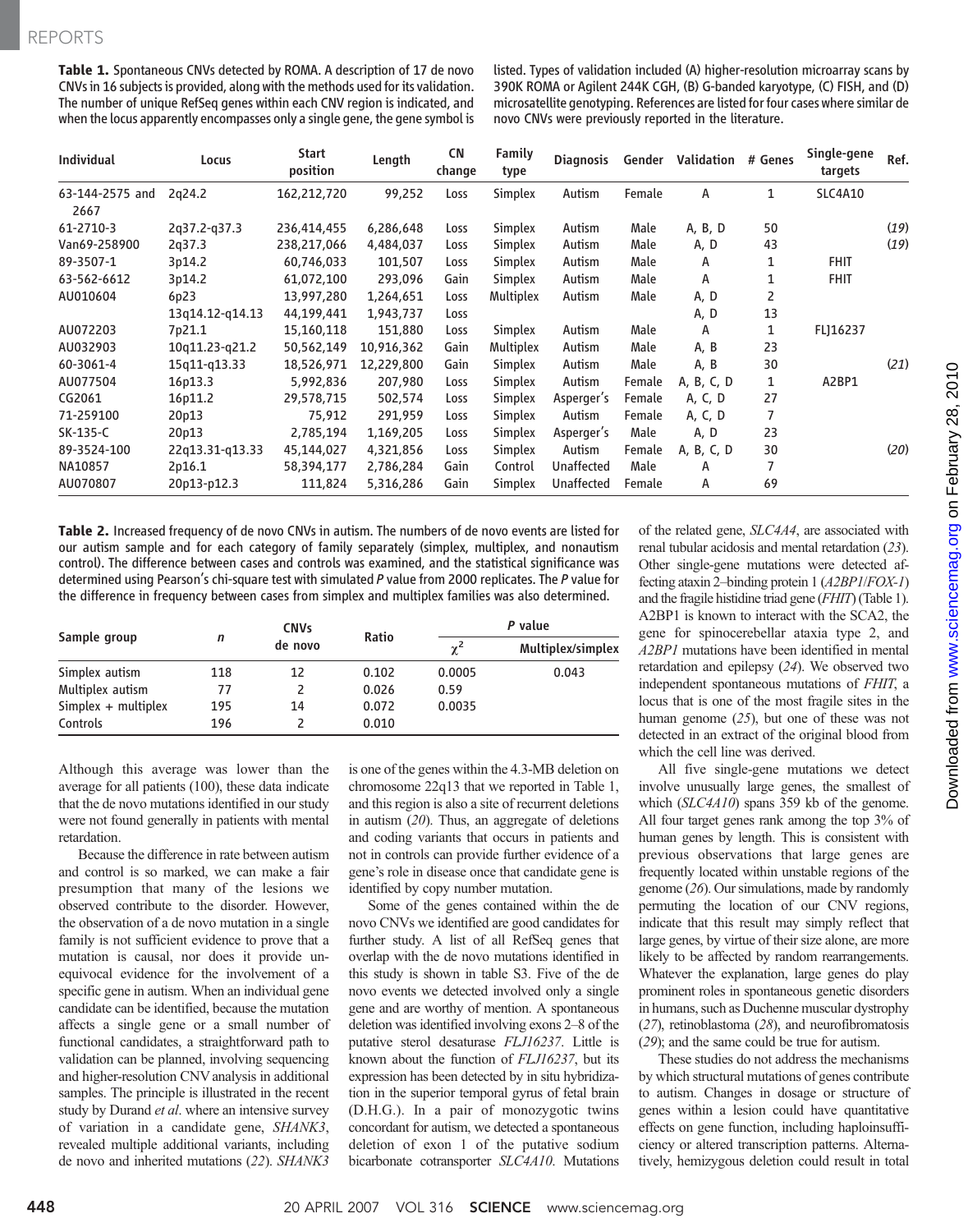Table 1. Spontaneous CNVs detected by ROMA. A description of 17 de novo CNVs in 16 subjects is provided, along with the methods used for its validation. The number of unique RefSeq genes within each CNV region is indicated, and when the locus apparently encompasses only a single gene, the gene symbol is listed. Types of validation included (A) higher-resolution microarray scans by 390K ROMA or Agilent 244K CGH, (B) G-banded karyotype, (C) FISH, and (D) microsatellite genotyping. References are listedfor four cases where similar de novo CNVs were previously reported in the literature.

| <b>Individual</b>       | Locus           | Start<br>position | Length     | <b>CN</b><br>change | <b>Family</b><br>type | <b>Diagnosis</b>  | Gender | Validation # Genes |    | Single-gene<br>targets | Ref. |
|-------------------------|-----------------|-------------------|------------|---------------------|-----------------------|-------------------|--------|--------------------|----|------------------------|------|
| 63-144-2575 and<br>2667 | 2g24.2          | 162,212,720       | 99,252     | Loss                | Simplex               | Autism            | Female | А                  | 1  | SLC4A10                |      |
| 61-2710-3               | 2q37.2-q37.3    | 236,414,455       | 6,286,648  | Loss                | Simplex               | Autism            | Male   | A, B, D            | 50 |                        | (19) |
| Van69-258900            | 2q37.3          | 238,217,066       | 4,484,037  | Loss                | Simplex               | Autism            | Male   | A, D               | 43 |                        | (19) |
| 89-3507-1               | 3p14.2          | 60,746,033        | 101,507    | Loss                | Simplex               | Autism            | Male   | Α                  | 1  | <b>FHIT</b>            |      |
| 63-562-6612             | 3p14.2          | 61,072,100        | 293,096    | Gain                | Simplex               | Autism            | Male   | A                  | 1  | <b>FHIT</b>            |      |
| AU010604                | 6p23            | 13,997,280        | 1,264,651  | Loss                | Multiplex             | Autism            | Male   | A, D               | 2  |                        |      |
|                         | 13q14.12-q14.13 | 44,199,441        | 1,943,737  | Loss                |                       |                   |        | A, D               | 13 |                        |      |
| AU072203                | 7p21.1          | 15,160,118        | 151,880    | Loss                | Simplex               | Autism            | Male   | A                  | 1  | FL]16237               |      |
| AU032903                | 10q11.23-q21.2  | 50,562,149        | 10,916,362 | Gain                | Multiplex             | Autism            | Male   | A, B               | 23 |                        |      |
| 60-3061-4               | 15q11-q13.33    | 18,526,971        | 12,229,800 | Gain                | Simplex               | Autism            | Male   | A, B               | 30 |                        | (21) |
| AU077504                | 16p13.3         | 5,992,836         | 207,980    | Loss                | Simplex               | Autism            | Female | A, B, C, D         | 1  | A2BP1                  |      |
| CG2061                  | 16p11.2         | 29,578,715        | 502,574    | Loss                | Simplex               | Asperger's        | Female | A, C, D            | 27 |                        |      |
| 71-259100               | 20p13           | 75,912            | 291,959    | Loss                | Simplex               | Autism            | Female | A, C, D            | 7  |                        |      |
| SK-135-C                | 20p13           | 2,785,194         | 1,169,205  | Loss                | Simplex               | Asperger's        | Male   | A, D               | 23 |                        |      |
| 89-3524-100             | 22q13.31-q13.33 | 45,144,027        | 4,321,856  | Loss                | Simplex               | Autism            | Female | A, B, C, D         | 30 |                        | (20) |
| NA10857                 | 2p16.1          | 58,394,177        | 2,786,284  | Gain                | Control               | <b>Unaffected</b> | Male   | A                  | 7  |                        |      |
| AU070807                | 20p13-p12.3     | 111,824           | 5,316,286  | Gain                | Simplex               | <b>Unaffected</b> | Female | Α                  | 69 |                        |      |

Table 2. Increased frequency of de novo CNVs in autism. The numbers of de novo events are listed for our autism sample and for each category of family separately (simplex, multiplex, and nonautism control). The difference between cases and controls was examined, and the statistical significance was determined using Pearson's chi-square test with simulated P value from 2000 replicates. The P value for the difference in frequency between cases from simplex and multiplex families was also determined.

|                       |     | <b>CNVs</b> |       | P value  |                   |  |
|-----------------------|-----|-------------|-------|----------|-------------------|--|
| Sample group          | n   | de novo     | Ratio | $\chi^2$ | Multiplex/simplex |  |
| Simplex autism        | 118 | 12          | 0.102 | 0.0005   | 0.043             |  |
| Multiplex autism      | 77  |             | 0.026 | 0.59     |                   |  |
| $Simplex + multiplex$ | 195 | 14          | 0.072 | 0.0035   |                   |  |
| Controls              | 196 |             | 0.010 |          |                   |  |

Although this average was lower than the average for all patients (100), these data indicate that the de novo mutations identified in our study were not found generally in patients with mental retardation.

Because the difference in rate between autism and control is so marked, we can make a fair presumption that many of the lesions we observed contribute to the disorder. However, the observation of a de novo mutation in a single family is not sufficient evidence to prove that a mutation is causal, nor does it provide unequivocal evidence for the involvement of a specific gene in autism. When an individual gene candidate can be identified, because the mutation affects a single gene or a small number of functional candidates, a straightforward path to validation can be planned, involving sequencing and higher-resolution CNV analysis in additional samples. The principle is illustrated in the recent study by Durand et al. where an intensive survey of variation in a candidate gene, SHANK3, revealed multiple additional variants, including de novo and inherited mutations (22). SHANK3

is one of the genes within the 4.3-MB deletion on chromosome 22q13 that we reported in Table 1, and this region is also a site of recurrent deletions in autism  $(20)$ . Thus, an aggregate of deletions and coding variants that occurs in patients and not in controls can provide further evidence of a gene's role in disease once that candidate gene is identified by copy number mutation.

Some of the genes contained within the de novo CNVs we identified are good candidates for further study. A list of all RefSeq genes that overlap with the de novo mutations identified in this study is shown in table S3. Five of the de novo events we detected involved only a single gene and are worthy of mention. A spontaneous deletion was identified involving exons 2–8 of the putative sterol desaturase FLJ16237. Little is known about the function of FLJ16237, but its expression has been detected by in situ hybridization in the superior temporal gyrus of fetal brain (D.H.G.). In a pair of monozygotic twins concordant for autism, we detected a spontaneous deletion of exon 1 of the putative sodium bicarbonate cotransporter SLC4A10. Mutations

of the related gene, SLC4A4, are associated with renal tubular acidosis and mental retardation (23). Other single-gene mutations were detected affecting ataxin 2–binding protein 1 (A2BP1/FOX-1) and the fragile histidine triad gene (FHIT) (Table 1). A2BP1 is known to interact with the SCA2, the gene for spinocerebellar ataxia type 2, and A2BP1 mutations have been identified in mental retardation and epilepsy (24). We observed two independent spontaneous mutations of FHIT, a locus that is one of the most fragile sites in the human genome (25), but one of these was not detected in an extract of the original blood from which the cell line was derived.

All five single-gene mutations we detect involve unusually large genes, the smallest of which (SLC4A10) spans 359 kb of the genome. All four target genes rank among the top 3% of human genes by length. This is consistent with previous observations that large genes are frequently located within unstable regions of the genome (26). Our simulations, made by randomly permuting the location of our CNV regions, indicate that this result may simply reflect that large genes, by virtue of their size alone, are more likely to be affected by random rearrangements. Whatever the explanation, large genes do play prominent roles in spontaneous genetic disorders in humans, such as Duchenne muscular dystrophy (27), retinoblastoma (28), and neurofibromatosis (29); and the same could be true for autism.

These studies do not address the mechanisms by which structural mutations of genes contribute to autism. Changes in dosage or structure of genes within a lesion could have quantitative effects on gene function, including haploinsufficiency or altered transcription patterns. Alternatively, hemizygous deletion could result in total